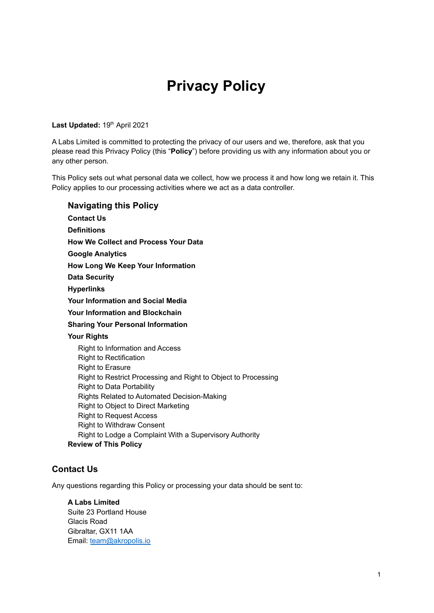# **Privacy Policy**

#### Last Updated: 19<sup>th</sup> April 2021

A Labs Limited is committed to protecting the privacy of our users and we, therefore, ask that you please read this Privacy Policy (this "**Policy**") before providing us with any information about you or any other person.

This Policy sets out what personal data we collect, how we process it and how long we retain it. This Policy applies to our processing activities where we act as a data controller.

**Navigating this Policy [Contact](#page-0-0) Us [Definitions](#page-0-1) How We Collect and [Process](#page-1-0) Your Data Google [Analytics](#page-1-1) How Long We Keep Your [Information](#page-2-0) Data [Security](#page-2-1) [Hyperlinks](#page-2-2) Your [Information](#page-3-0) and Social Media Your [Information](#page-3-1) and Blockchain Sharing Your Personal [Information](#page-3-2) Your [Rights](#page-4-0)** Right to [Information](#page-4-1) and Access Right to [Rectification](#page-4-2) Right to [Erasure](#page-4-3) Right to Restrict [Processing](#page-5-0) and Right to Object to Processing Right to Data [Portability](#page-5-1) Rights Related to Automated [Decision-Making](#page-5-2) Right to Object to Direct [Marketing](#page-5-3) Right to [Request](#page-6-0) Access Right to [Withdraw](#page-6-1) Consent Right to Lodge a Complaint With a [Supervisory](#page-6-2) Authority **[Review](#page-6-3) of This Policy**

# <span id="page-0-0"></span>**Contact Us**

Any questions regarding this Policy or processing your data should be sent to:

<span id="page-0-1"></span>**A Labs Limited** Suite 23 Portland House Glacis Road Gibraltar, GX11 1AA Email: [team@akropolis.io](mailto:team@akropolis.io)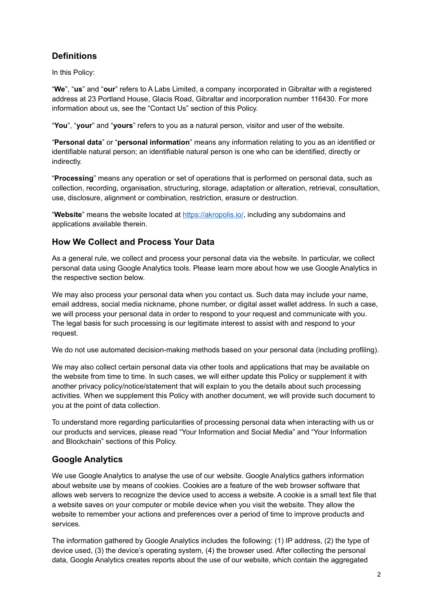# **Definitions**

In this Policy:

"**We**", "**us**" and "**our**" refers to A Labs Limited, a company incorporated in Gibraltar with a registered address at 23 Portland House, Glacis Road, Gibraltar and incorporation number 116430*.* For more information about us, see the "Contact Us" section of this Policy.

"**You**", "**your**" and "**yours**" refers to you as a natural person, visitor and user of the website.

"**Personal data**" or "**personal information**" means any information relating to you as an identified or identifiable natural person; an identifiable natural person is one who can be identified, directly or indirectly.

"**Processing**" means any operation or set of operations that is performed on personal data, such as collection, recording, organisation, structuring, storage, adaptation or alteration, retrieval, consultation, use, disclosure, alignment or combination, restriction, erasure or destruction.

"**Website**" means the website located at <https://akropolis.io/>, including any subdomains and applications available therein.

# <span id="page-1-0"></span>**How We Collect and Process Your Data**

As a general rule, we collect and process your personal data via the website. In particular, we collect personal data using Google Analytics tools. Please learn more about how we use Google Analytics in the respective section below.

We may also process your personal data when you contact us. Such data may include your name, email address, social media nickname, phone number, or digital asset wallet address. In such a case, we will process your personal data in order to respond to your request and communicate with you. The legal basis for such processing is our legitimate interest to assist with and respond to your request.

We do not use automated decision-making methods based on your personal data (including profiling).

We may also collect certain personal data via other tools and applications that may be available on the website from time to time. In such cases, we will either update this Policy or supplement it with another privacy policy/notice/statement that will explain to you the details about such processing activities. When we supplement this Policy with another document, we will provide such document to you at the point of data collection.

To understand more regarding particularities of processing personal data when interacting with us or our products and services, please read "Your Information and Social Media" and "Your Information and Blockchain" sections of this Policy.

# <span id="page-1-1"></span>**Google Analytics**

We use Google Analytics to analyse the use of our website. Google Analytics gathers information about website use by means of cookies. Cookies are a feature of the web browser software that allows web servers to recognize the device used to access a website. A cookie is a small text file that a website saves on your computer or mobile device when you visit the website. They allow the website to remember your actions and preferences over a period of time to improve products and services.

The information gathered by Google Analytics includes the following: (1) IP address, (2) the type of device used, (3) the device's operating system, (4) the browser used. After collecting the personal data, Google Analytics creates reports about the use of our website, which contain the aggregated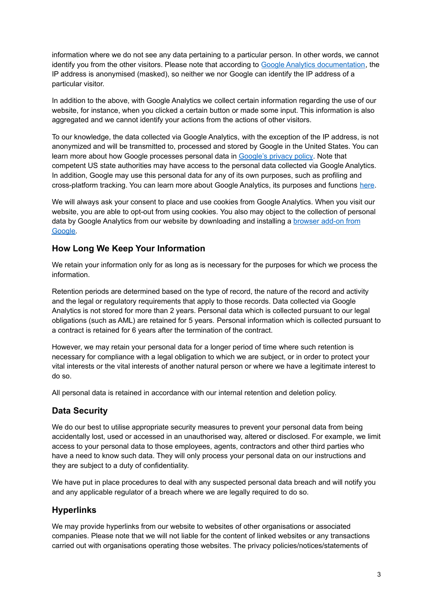information where we do not see any data pertaining to a particular person. In other words, we cannot identify you from the other visitors. Please note that according to Google Analytics [documentation,](https://support.google.com/analytics/answer/2763052?hl=en) the IP address is anonymised (masked), so neither we nor Google can identify the IP address of a particular visitor.

In addition to the above, with Google Analytics we collect certain information regarding the use of our website, for instance, when you clicked a certain button or made some input. This information is also aggregated and we cannot identify your actions from the actions of other visitors.

To our knowledge, the data collected via Google Analytics, with the exception of the IP address, is not anonymized and will be transmitted to, processed and stored by Google in the United States. You can learn more about how Google processes personal data in [Google's](https://www.google.com/policies/privacy/) privacy policy. Note that competent US state authorities may have access to the personal data collected via Google Analytics. In addition, Google may use this personal data for any of its own purposes, such as profiling and cross-platform tracking. You can learn more about Google Analytics, its purposes and functions [here](https://marketingplatform.google.com/about/analytics/).

We will always ask your consent to place and use cookies from Google Analytics. When you visit our website, you are able to opt-out from using cookies. You also may object to the collection of personal data by Google Analytics from our website by downloading and installing a [browser](https://tools.google.com/dlpage/gaoptout) add-on from [Google.](https://tools.google.com/dlpage/gaoptout)

# <span id="page-2-0"></span>**How Long We Keep Your Information**

We retain your information only for as long as is necessary for the purposes for which we process the information.

Retention periods are determined based on the type of record, the nature of the record and activity and the legal or regulatory requirements that apply to those records. Data collected via Google Analytics is not stored for more than 2 years. Personal data which is collected pursuant to our legal obligations (such as AML) are retained for 5 years. Personal information which is collected pursuant to a contract is retained for 6 years after the termination of the contract.

However, we may retain your personal data for a longer period of time where such retention is necessary for compliance with a legal obligation to which we are subject, or in order to protect your vital interests or the vital interests of another natural person or where we have a legitimate interest to do so.

All personal data is retained in accordance with our internal retention and deletion policy.

# <span id="page-2-1"></span>**Data Security**

We do our best to utilise appropriate security measures to prevent your personal data from being accidentally lost, used or accessed in an unauthorised way, altered or disclosed. For example, we limit access to your personal data to those employees, agents, contractors and other third parties who have a need to know such data. They will only process your personal data on our instructions and they are subject to a duty of confidentiality.

We have put in place procedures to deal with any suspected personal data breach and will notify you and any applicable regulator of a breach where we are legally required to do so.

# <span id="page-2-2"></span>**Hyperlinks**

We may provide hyperlinks from our website to websites of other organisations or associated companies. Please note that we will not liable for the content of linked websites or any transactions carried out with organisations operating those websites. The privacy policies/notices/statements of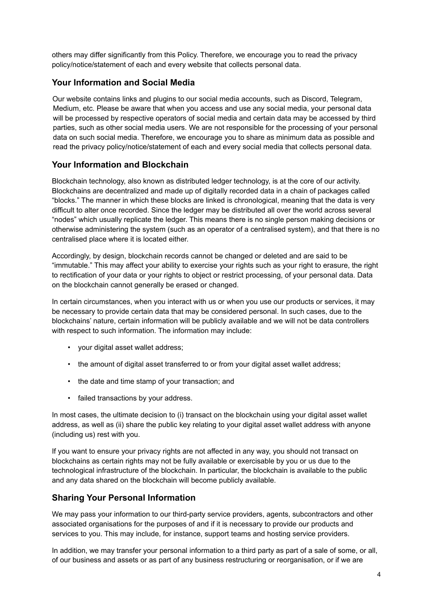others may differ significantly from this Policy. Therefore, we encourage you to read the privacy policy/notice/statement of each and every website that collects personal data.

# <span id="page-3-0"></span>**Your Information and Social Media**

Our website contains links and plugins to our social media accounts, such as Discord, Telegram, Medium, etc. Please be aware that when you access and use any social media, your personal data will be processed by respective operators of social media and certain data may be accessed by third parties, such as other social media users. We are not responsible for the processing of your personal data on such social media. Therefore, we encourage you to share as minimum data as possible and read the privacy policy/notice/statement of each and every social media that collects personal data.

# <span id="page-3-1"></span>**Your Information and Blockchain**

Blockchain technology, also known as distributed ledger technology, is at the core of our activity. Blockchains are decentralized and made up of digitally recorded data in a chain of packages called "blocks." The manner in which these blocks are linked is chronological, meaning that the data is very difficult to alter once recorded. Since the ledger may be distributed all over the world across several "nodes" which usually replicate the ledger. This means there is no single person making decisions or otherwise administering the system (such as an operator of a centralised system), and that there is no centralised place where it is located either.

Accordingly, by design, blockchain records cannot be changed or deleted and are said to be "immutable." This may affect your ability to exercise your rights such as your right to erasure, the right to rectification of your data or your rights to object or restrict processing, of your personal data. Data on the blockchain cannot generally be erased or changed.

In certain circumstances, when you interact with us or when you use our products or services, it may be necessary to provide certain data that may be considered personal. In such cases, due to the blockchains' nature, certain information will be publicly available and we will not be data controllers with respect to such information. The information may include:

- your digital asset wallet address;
- the amount of digital asset transferred to or from your digital asset wallet address;
- the date and time stamp of your transaction; and
- failed transactions by your address.

In most cases, the ultimate decision to (i) transact on the blockchain using your digital asset wallet address, as well as (ii) share the public key relating to your digital asset wallet address with anyone (including us) rest with you.

If you want to ensure your privacy rights are not affected in any way, you should not transact on blockchains as certain rights may not be fully available or exercisable by you or us due to the technological infrastructure of the blockchain. In particular, the blockchain is available to the public and any data shared on the blockchain will become publicly available.

# <span id="page-3-2"></span>**Sharing Your Personal Information**

We may pass your information to our third-party service providers, agents, subcontractors and other associated organisations for the purposes of and if it is necessary to provide our products and services to you. This may include, for instance, support teams and hosting service providers.

In addition, we may transfer your personal information to a third party as part of a sale of some, or all, of our business and assets or as part of any business restructuring or reorganisation, or if we are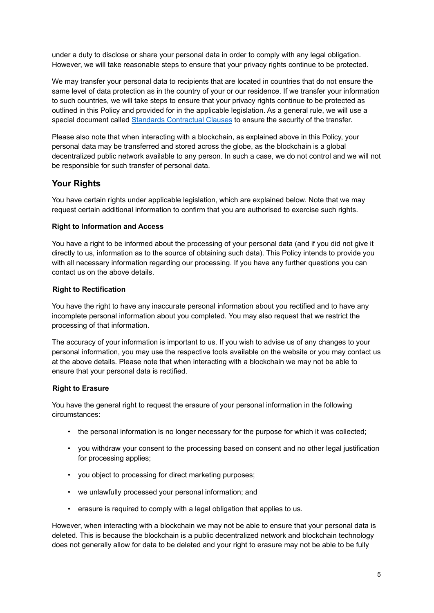under a duty to disclose or share your personal data in order to comply with any legal obligation. However, we will take reasonable steps to ensure that your privacy rights continue to be protected.

We may transfer your personal data to recipients that are located in countries that do not ensure the same level of data protection as in the country of your or our residence. If we transfer your information to such countries, we will take steps to ensure that your privacy rights continue to be protected as outlined in this Policy and provided for in the applicable legislation. As a general rule, we will use a special document called Standards [Contractual](https://ec.europa.eu/info/law/law-topic/data-protection/international-dimension-data-protection/standard-contractual-clauses-scc_en) Clauses to ensure the security of the transfer.

Please also note that when interacting with a blockchain, as explained above in this Policy, your personal data may be transferred and stored across the globe, as the blockchain is a global decentralized public network available to any person. In such a case, we do not control and we will not be responsible for such transfer of personal data.

# <span id="page-4-0"></span>**Your Rights**

You have certain rights under applicable legislation, which are explained below. Note that we may request certain additional information to confirm that you are authorised to exercise such rights.

#### <span id="page-4-1"></span>**Right to Information and Access**

You have a right to be informed about the processing of your personal data (and if you did not give it directly to us, information as to the source of obtaining such data). This Policy intends to provide you with all necessary information regarding our processing. If you have any further questions you can contact us on the above details.

#### <span id="page-4-2"></span>**Right to Rectification**

You have the right to have any inaccurate personal information about you rectified and to have any incomplete personal information about you completed. You may also request that we restrict the processing of that information.

The accuracy of your information is important to us. If you wish to advise us of any changes to your personal information, you may use the respective tools available on the website or you may contact us at the above details. Please note that when interacting with a blockchain we may not be able to ensure that your personal data is rectified.

#### <span id="page-4-3"></span>**Right to Erasure**

You have the general right to request the erasure of your personal information in the following circumstances:

- the personal information is no longer necessary for the purpose for which it was collected;
- you withdraw your consent to the processing based on consent and no other legal justification for processing applies;
- you object to processing for direct marketing purposes;
- we unlawfully processed your personal information; and
- erasure is required to comply with a legal obligation that applies to us.

However, when interacting with a blockchain we may not be able to ensure that your personal data is deleted. This is because the blockchain is a public decentralized network and blockchain technology does not generally allow for data to be deleted and your right to erasure may not be able to be fully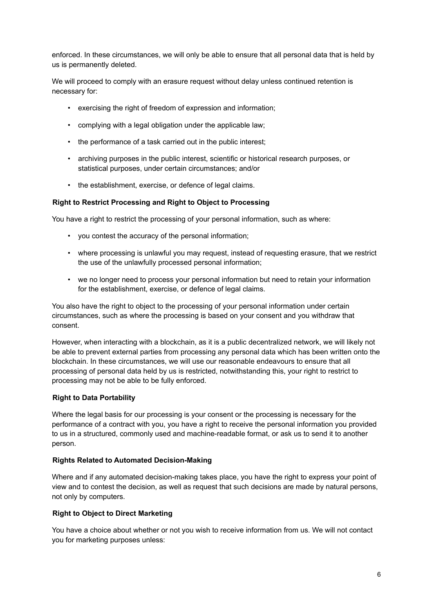enforced. In these circumstances, we will only be able to ensure that all personal data that is held by us is permanently deleted.

We will proceed to comply with an erasure request without delay unless continued retention is necessary for:

- exercising the right of freedom of expression and information;
- complying with a legal obligation under the applicable law;
- the performance of a task carried out in the public interest;
- archiving purposes in the public interest, scientific or historical research purposes, or statistical purposes, under certain circumstances; and/or
- the establishment, exercise, or defence of legal claims.

#### <span id="page-5-0"></span>**Right to Restrict Processing and Right to Object to Processing**

You have a right to restrict the processing of your personal information, such as where:

- you contest the accuracy of the personal information;
- where processing is unlawful you may request, instead of requesting erasure, that we restrict the use of the unlawfully processed personal information;
- we no longer need to process your personal information but need to retain your information for the establishment, exercise, or defence of legal claims.

You also have the right to object to the processing of your personal information under certain circumstances, such as where the processing is based on your consent and you withdraw that consent.

However, when interacting with a blockchain, as it is a public decentralized network, we will likely not be able to prevent external parties from processing any personal data which has been written onto the blockchain. In these circumstances, we will use our reasonable endeavours to ensure that all processing of personal data held by us is restricted, notwithstanding this, your right to restrict to processing may not be able to be fully enforced.

#### <span id="page-5-1"></span>**Right to Data Portability**

Where the legal basis for our processing is your consent or the processing is necessary for the performance of a contract with you, you have a right to receive the personal information you provided to us in a structured, commonly used and machine-readable format, or ask us to send it to another person.

#### <span id="page-5-2"></span>**Rights Related to Automated Decision-Making**

Where and if any automated decision-making takes place, you have the right to express your point of view and to contest the decision, as well as request that such decisions are made by natural persons, not only by computers.

#### <span id="page-5-3"></span>**Right to Object to Direct Marketing**

You have a choice about whether or not you wish to receive information from us. We will not contact you for marketing purposes unless: